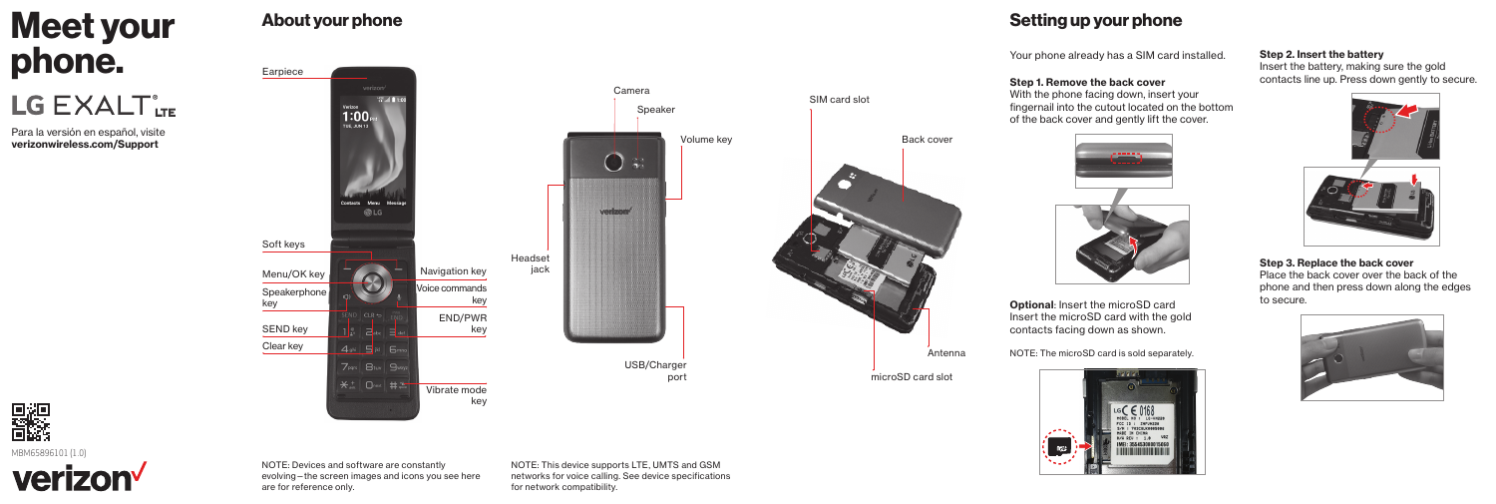# Meet your phone.

LG EXALT<sup>®</sup>LTE

Para la versión en español, visite [verizonwireless.com/Support](http://verizonwireless.com/Support)

# About your phone

Earpiece

SEND key

Soft keys

Clear key

Speakerphone key

Menu/OK key



## Setting up your phone

Your phone already has a SIM card installed.

## Step 1. Remove the back cover

Back cover

Antenna

With the phone facing down, insert your fingernail into the cutout located on the bottom of the back cover and gently lift the cover.



Optional: Insert the microSD card Insert the microSD card with the gold contacts facing down as shown.

NOTE: The microSD card is sold separately.



## Step 2. Insert the battery

Insert the battery, making sure the gold contacts line up. Press down gently to secure.





Step 3. Replace the back cover Place the back cover over the back of the phone and then press down along the edges to secure.





NOTE: Devices and software are constantly evolving—the screen images and icons you see here are for reference only.

NOTE: This device supports LTE, UMTS and GSM networks for voice calling. See device specifications for network compatibility.